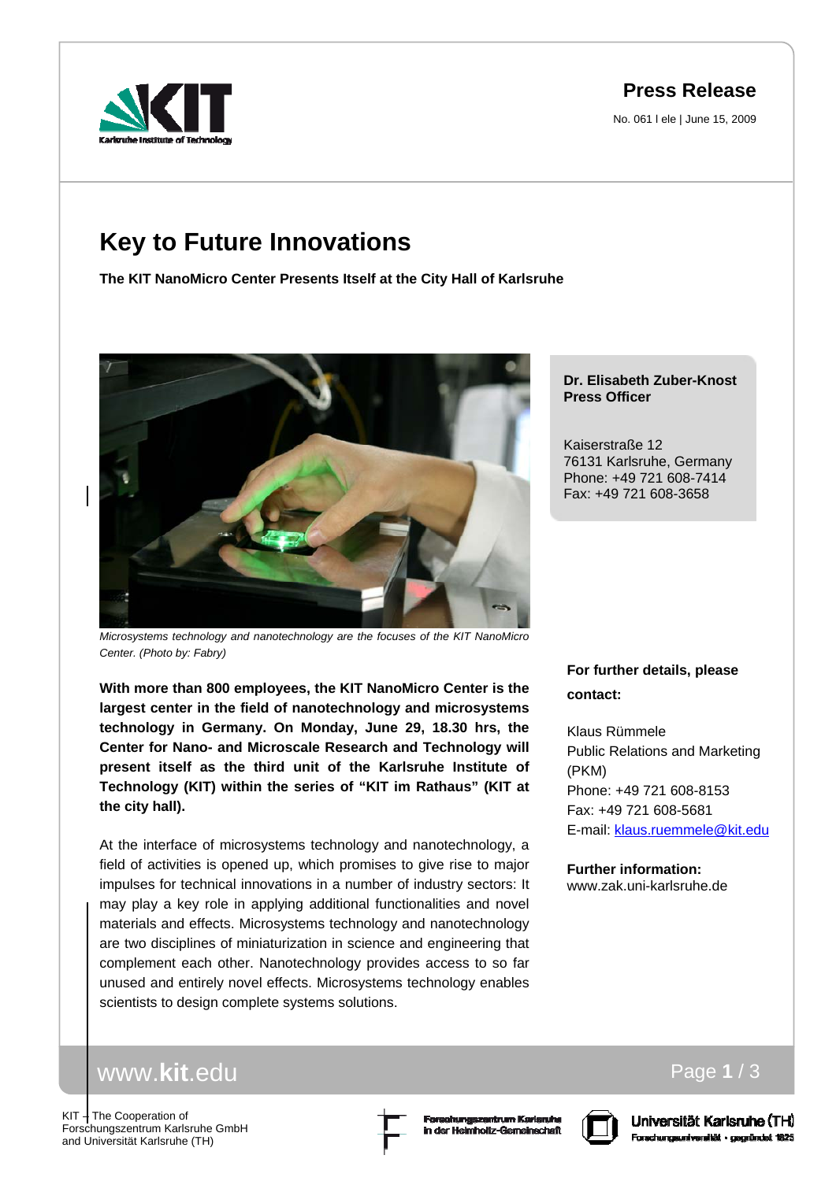# **Press Release**

No. 061 l ele | June 15, 2009

# **Key to Future Innovations**

**The KIT NanoMicro Center Presents Itself at the City Hall of Karlsruhe**



*Microsystems technology and nanotechnology are the focuses of the KIT NanoMicro Center. (Photo by: Fabry)* 

**With more than 800 employees, the KIT NanoMicro Center is the largest center in the field of nanotechnology and microsystems technology in Germany. On Monday, June 29, 18.30 hrs, the Center for Nano- and Microscale Research and Technology will present itself as the third unit of the Karlsruhe Institute of Technology (KIT) within the series of "KIT im Rathaus" (KIT at the city hall).** 

At the interface of microsystems technology and nanotechnology, a field of activities is opened up, which promises to give rise to major impulses for technical innovations in a number of industry sectors: It may play a key role in applying additional functionalities and novel materials and effects. Microsystems technology and nanotechnology are two disciplines of miniaturization in science and engineering that complement each other. Nanotechnology provides access to so far unused and entirely novel effects. Microsystems technology enables scientists to design complete systems solutions.

#### **Dr. Elisabeth Zuber-Knost Press Officer**

Kaiserstraße 12 76131 Karlsruhe, Germany Phone: +49 721 608-7414 Fax: +49 721 608-3658

## **For further details, please contact:**

Klaus Rümmele Public Relations and Marketing (PKM) Phone: +49 721 608-8153 Fax: +49 721 608-5681 E-mail: klaus.ruemmele@kit.edu

**Further information:**  www.zak.uni-karlsruhe.de

# www.**kit**.edu

KIT - The Cooperation of Forschungszentrum Karlsruhe GmbH and Universität Karlsruhe (TH)





Page **1** / 3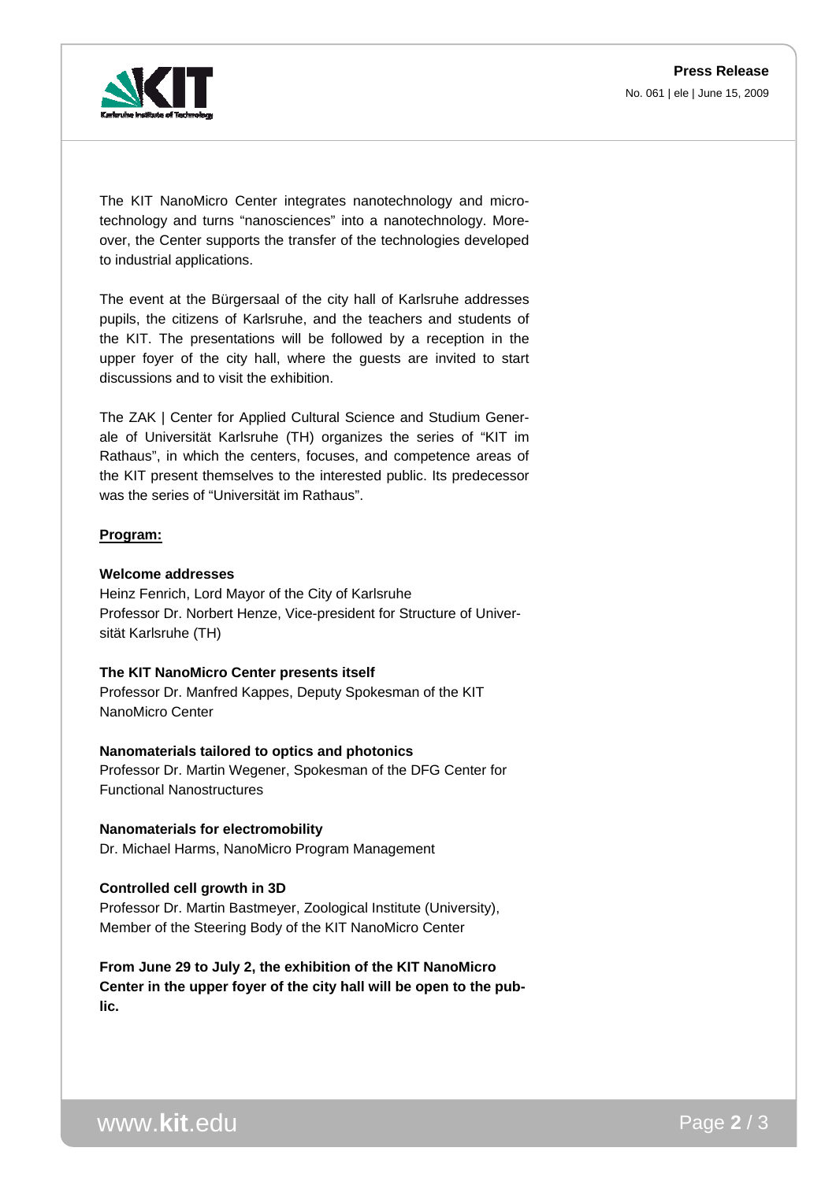

The KIT NanoMicro Center integrates nanotechnology and microtechnology and turns "nanosciences" into a nanotechnology. Moreover, the Center supports the transfer of the technologies developed to industrial applications.

The event at the Bürgersaal of the city hall of Karlsruhe addresses pupils, the citizens of Karlsruhe, and the teachers and students of the KIT. The presentations will be followed by a reception in the upper foyer of the city hall, where the guests are invited to start discussions and to visit the exhibition.

The ZAK | Center for Applied Cultural Science and Studium Generale of Universität Karlsruhe (TH) organizes the series of "KIT im Rathaus", in which the centers, focuses, and competence areas of the KIT present themselves to the interested public. Its predecessor was the series of "Universität im Rathaus".

#### **Program:**

#### **Welcome addresses**

Heinz Fenrich, Lord Mayor of the City of Karlsruhe Professor Dr. Norbert Henze, Vice-president for Structure of Universität Karlsruhe (TH)

#### **The KIT NanoMicro Center presents itself**

Professor Dr. Manfred Kappes, Deputy Spokesman of the KIT NanoMicro Center

#### **Nanomaterials tailored to optics and photonics**

Professor Dr. Martin Wegener, Spokesman of the DFG Center for Functional Nanostructures

#### **Nanomaterials for electromobility** Dr. Michael Harms, NanoMicro Program Management

## **Controlled cell growth in 3D**

Professor Dr. Martin Bastmeyer, Zoological Institute (University), Member of the Steering Body of the KIT NanoMicro Center

**From June 29 to July 2, the exhibition of the KIT NanoMicro Center in the upper foyer of the city hall will be open to the public.** 

www.**kit**.edu Page **2** / 3